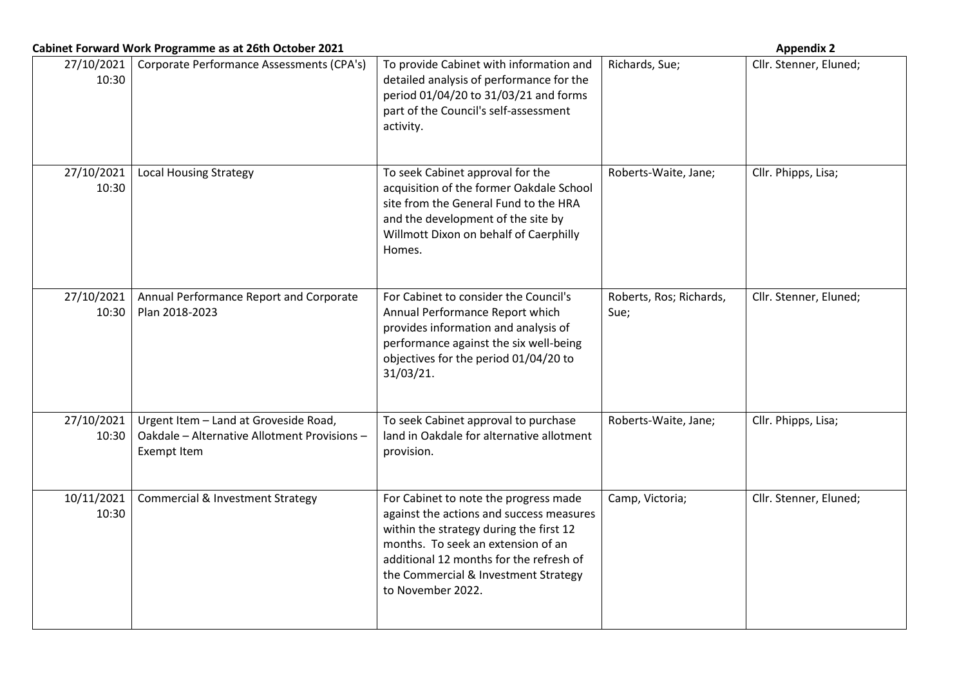| Cabinet Forward Work Programme as at 26th October 2021 |                                                                                                             |                                                                                                                                                                                                                                                                            | <b>Appendix 2</b>               |                        |  |
|--------------------------------------------------------|-------------------------------------------------------------------------------------------------------------|----------------------------------------------------------------------------------------------------------------------------------------------------------------------------------------------------------------------------------------------------------------------------|---------------------------------|------------------------|--|
| 27/10/2021<br>10:30                                    | Corporate Performance Assessments (CPA's)                                                                   | To provide Cabinet with information and<br>detailed analysis of performance for the<br>period 01/04/20 to 31/03/21 and forms<br>part of the Council's self-assessment<br>activity.                                                                                         | Richards, Sue;                  | Cllr. Stenner, Eluned; |  |
| 27/10/2021<br>10:30                                    | <b>Local Housing Strategy</b>                                                                               | To seek Cabinet approval for the<br>acquisition of the former Oakdale School<br>site from the General Fund to the HRA<br>and the development of the site by<br>Willmott Dixon on behalf of Caerphilly<br>Homes.                                                            | Roberts-Waite, Jane;            | Cllr. Phipps, Lisa;    |  |
| 27/10/2021<br>10:30                                    | Annual Performance Report and Corporate<br>Plan 2018-2023                                                   | For Cabinet to consider the Council's<br>Annual Performance Report which<br>provides information and analysis of<br>performance against the six well-being<br>objectives for the period 01/04/20 to<br>31/03/21.                                                           | Roberts, Ros; Richards,<br>Sue; | Cllr. Stenner, Eluned; |  |
| 27/10/2021<br>10:30                                    | Urgent Item - Land at Groveside Road,<br>Oakdale - Alternative Allotment Provisions -<br><b>Exempt Item</b> | To seek Cabinet approval to purchase<br>land in Oakdale for alternative allotment<br>provision.                                                                                                                                                                            | Roberts-Waite, Jane;            | Cllr. Phipps, Lisa;    |  |
| 10/11/2021<br>10:30                                    | <b>Commercial &amp; Investment Strategy</b>                                                                 | For Cabinet to note the progress made<br>against the actions and success measures<br>within the strategy during the first 12<br>months. To seek an extension of an<br>additional 12 months for the refresh of<br>the Commercial & Investment Strategy<br>to November 2022. | Camp, Victoria;                 | Cllr. Stenner, Eluned; |  |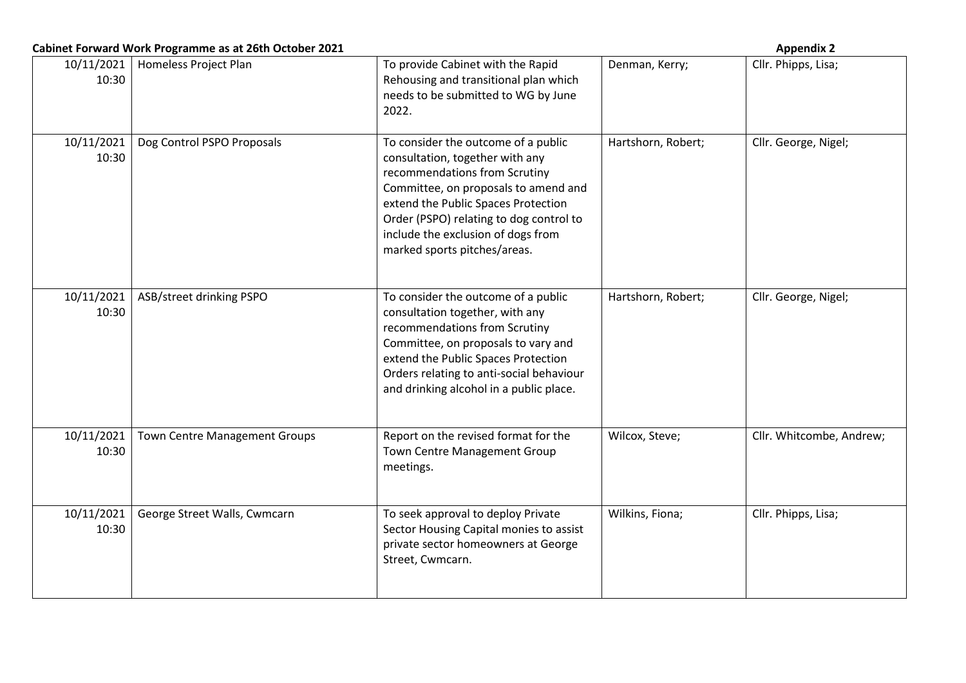|                     | Cabinet Forward Work Programme as at 26th October 2021 |                                                                                                                                                                                                                                                                                                         |                    | <b>Appendix 2</b>        |
|---------------------|--------------------------------------------------------|---------------------------------------------------------------------------------------------------------------------------------------------------------------------------------------------------------------------------------------------------------------------------------------------------------|--------------------|--------------------------|
| 10/11/2021<br>10:30 | Homeless Project Plan                                  | To provide Cabinet with the Rapid<br>Rehousing and transitional plan which<br>needs to be submitted to WG by June<br>2022.                                                                                                                                                                              | Denman, Kerry;     | Cllr. Phipps, Lisa;      |
| 10/11/2021<br>10:30 | Dog Control PSPO Proposals                             | To consider the outcome of a public<br>consultation, together with any<br>recommendations from Scrutiny<br>Committee, on proposals to amend and<br>extend the Public Spaces Protection<br>Order (PSPO) relating to dog control to<br>include the exclusion of dogs from<br>marked sports pitches/areas. | Hartshorn, Robert; | Cllr. George, Nigel;     |
| 10/11/2021<br>10:30 | ASB/street drinking PSPO                               | To consider the outcome of a public<br>consultation together, with any<br>recommendations from Scrutiny<br>Committee, on proposals to vary and<br>extend the Public Spaces Protection<br>Orders relating to anti-social behaviour<br>and drinking alcohol in a public place.                            | Hartshorn, Robert; | Cllr. George, Nigel;     |
| 10/11/2021<br>10:30 | <b>Town Centre Management Groups</b>                   | Report on the revised format for the<br>Town Centre Management Group<br>meetings.                                                                                                                                                                                                                       | Wilcox, Steve;     | Cllr. Whitcombe, Andrew; |
| 10/11/2021<br>10:30 | George Street Walls, Cwmcarn                           | To seek approval to deploy Private<br>Sector Housing Capital monies to assist<br>private sector homeowners at George<br>Street, Cwmcarn.                                                                                                                                                                | Wilkins, Fiona;    | Cllr. Phipps, Lisa;      |